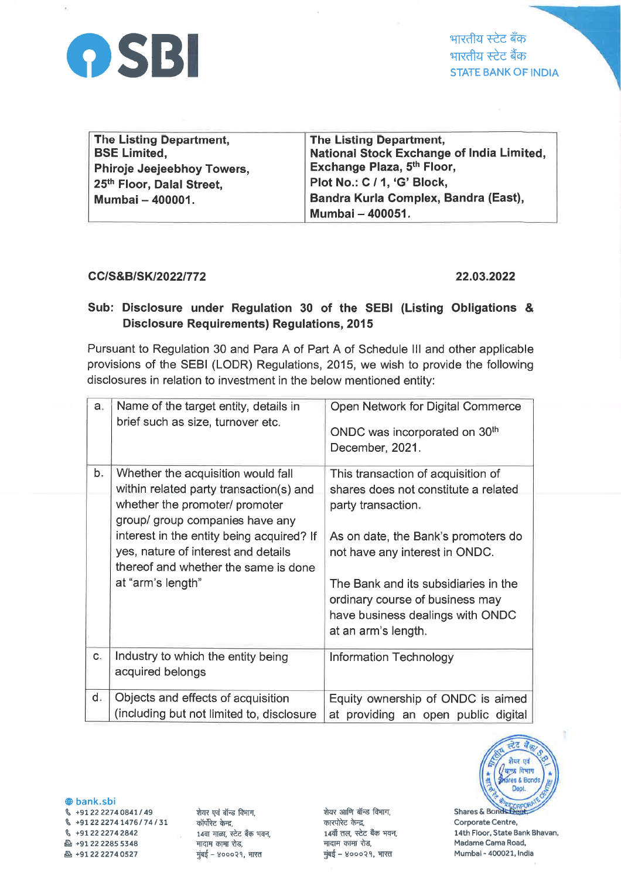

भारतीय स्टेट बँक भारतीय स्टेट बैंक **STATE BANK OF INDIA** 

| The Listing Department,    | The Listing Department,                   |
|----------------------------|-------------------------------------------|
| <b>BSE Limited,</b>        | National Stock Exchange of India Limited, |
| Phiroje Jeejeebhoy Towers, | Exchange Plaza, 5th Floor,                |
| 25th Floor, Dalal Street,  | Plot No.: C / 1, 'G' Block,               |
| Mumbai - 400001.           | Bandra Kurla Complex, Bandra (East),      |
|                            | Mumbai - 400051.                          |

## CC/S&B/SK/2022/772

## 22.03.2022

## Sub: Disclosure under Regulation 30 of the SEBI (Listing Obligations & **Disclosure Requirements) Regulations, 2015**

Pursuant to Regulation 30 and Para A of Part A of Schedule III and other applicable provisions of the SEBI (LODR) Regulations, 2015, we wish to provide the following disclosures in relation to investment in the below mentioned entity:

| a <sub>r</sub> | Name of the target entity, details in<br>brief such as size, turnover etc.                                               | Open Network for Digital Commerce<br>ONDC was incorporated on 30 <sup>th</sup><br>December, 2021.                                  |
|----------------|--------------------------------------------------------------------------------------------------------------------------|------------------------------------------------------------------------------------------------------------------------------------|
| b.             | Whether the acquisition would fall<br>within related party transaction(s) and                                            | This transaction of acquisition of<br>shares does not constitute a related                                                         |
|                | whether the promoter/ promoter<br>group/ group companies have any                                                        | party transaction.                                                                                                                 |
|                | interest in the entity being acquired? If<br>yes, nature of interest and details<br>thereof and whether the same is done | As on date, the Bank's promoters do<br>not have any interest in ONDC.                                                              |
|                | at "arm's length"                                                                                                        | The Bank and its subsidiaries in the<br>ordinary course of business may<br>have business dealings with ONDC<br>at an arm's length. |
| c.             | Industry to which the entity being<br>acquired belongs                                                                   | <b>Information Technology</b>                                                                                                      |
| $d_{\cdot}$    | Objects and effects of acquisition                                                                                       | Equity ownership of ONDC is aimed                                                                                                  |
|                | (including but not limited to, disclosure                                                                                | at providing an open public digital                                                                                                |



**@bank.sbi** § +91 22 2274 0841 / 49 € +91 22 2274 1476 / 74 / 31 ₲ +91 22 2274 2842 凸 +91 22 2285 5348 凸 +91 22 2274 0527

शेयर एवं बॉन्ड विभाग. कॉर्पोरेट केन्द्र, 14वा माळा. स्टेट बँक भवन. मादाम कामा रोड, मुंबई - ४०००२१, भारत

शेयर आणि बॉन्ड विभाग, कारपोरेट केन्द्र, 14वाँ तल, स्टेट बैंक भवन, मादाम कामा रोड. मुंबई - ४०००२१, भारत

Shares & Bonds Dept Corporate Centre, 14th Floor, State Bank Bhavan, Madame Cama Road, Mumbai - 400021, India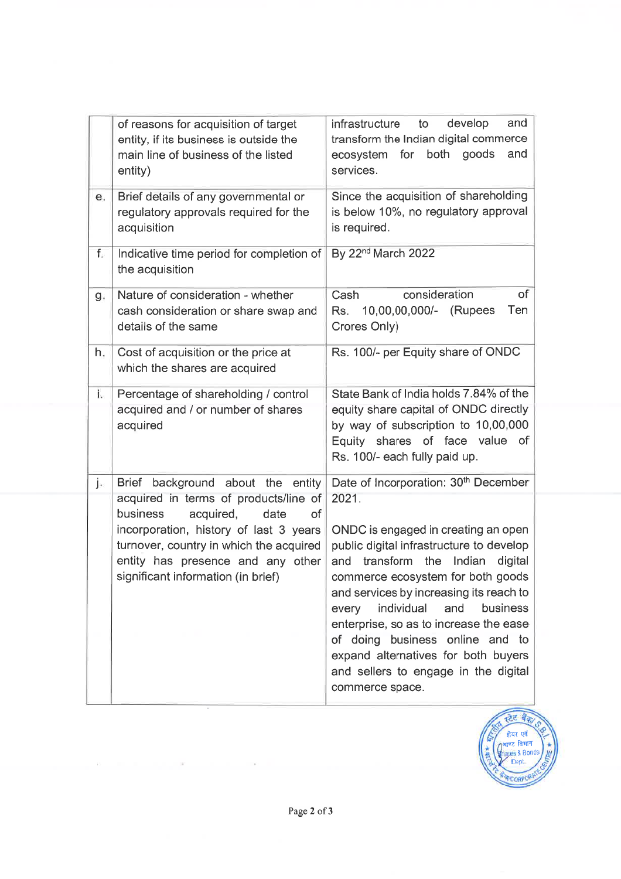|                | of reasons for acquisition of target<br>entity, if its business is outside the<br>main line of business of the listed<br>entity)                                                                                                                                                  | and<br>infrastructure<br>to<br>develop<br>transform the Indian digital commerce<br>for both<br>goods<br>and<br>ecosystem<br>services.                                                                                                                                                                                                                                                                                                                                                                 |
|----------------|-----------------------------------------------------------------------------------------------------------------------------------------------------------------------------------------------------------------------------------------------------------------------------------|-------------------------------------------------------------------------------------------------------------------------------------------------------------------------------------------------------------------------------------------------------------------------------------------------------------------------------------------------------------------------------------------------------------------------------------------------------------------------------------------------------|
| $\mathbf{e}$ . | Brief details of any governmental or<br>regulatory approvals required for the<br>acquisition                                                                                                                                                                                      | Since the acquisition of shareholding<br>is below 10%, no regulatory approval<br>is required.                                                                                                                                                                                                                                                                                                                                                                                                         |
| f.             | Indicative time period for completion of<br>the acquisition                                                                                                                                                                                                                       | By 22 <sup>nd</sup> March 2022                                                                                                                                                                                                                                                                                                                                                                                                                                                                        |
| g.             | Nature of consideration - whether<br>cash consideration or share swap and<br>details of the same                                                                                                                                                                                  | of<br>Cash<br>consideration<br>10,00,00,000/- (Rupees<br>Ten<br>Rs.<br>Crores Only)                                                                                                                                                                                                                                                                                                                                                                                                                   |
| h.             | Cost of acquisition or the price at<br>which the shares are acquired                                                                                                                                                                                                              | Rs. 100/- per Equity share of ONDC                                                                                                                                                                                                                                                                                                                                                                                                                                                                    |
| i.             | Percentage of shareholding / control<br>acquired and / or number of shares<br>acquired                                                                                                                                                                                            | State Bank of India holds 7.84% of the<br>equity share capital of ONDC directly<br>by way of subscription to 10,00,000<br>Equity shares of face value<br><b>of</b><br>Rs. 100/- each fully paid up.                                                                                                                                                                                                                                                                                                   |
| j.             | Brief background about the entity<br>acquired in terms of products/line of<br>acquired,<br>business<br>date<br>of<br>incorporation, history of last 3 years<br>turnover, country in which the acquired<br>entity has presence and any other<br>significant information (in brief) | Date of Incorporation: 30 <sup>th</sup> December<br>2021.<br>ONDC is engaged in creating an open<br>public digital infrastructure to develop<br>Indian<br>transform<br>the<br>and<br>digital<br>commerce ecosystem for both goods<br>and services by increasing its reach to<br>business<br>individual<br>and<br>every<br>enterprise, so as to increase the ease<br>of doing business online and to<br>expand alternatives for both buyers<br>and sellers to engage in the digital<br>commerce space. |